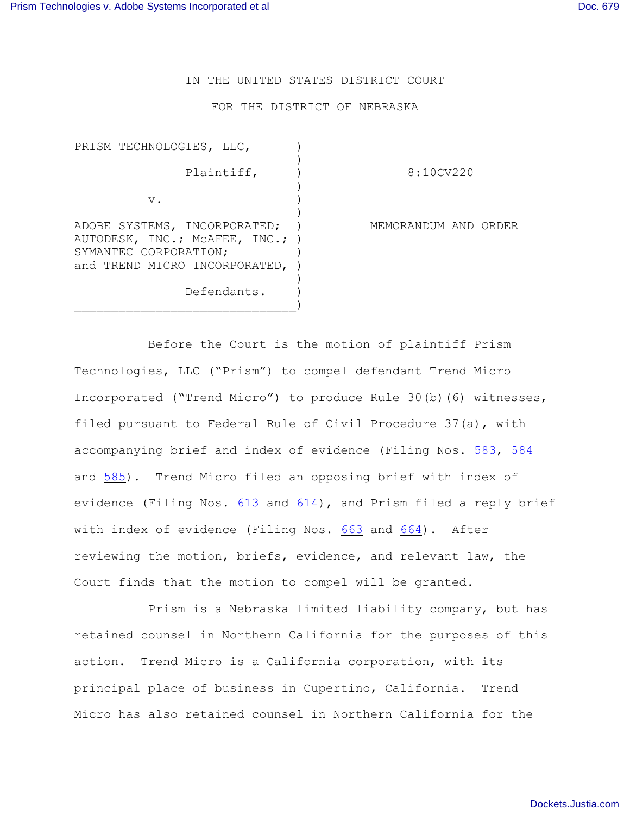IN THE UNITED STATES DISTRICT COURT

FOR THE DISTRICT OF NEBRASKA

| PRISM TECHNOLOGIES, LLC,                                                                                                  |                      |
|---------------------------------------------------------------------------------------------------------------------------|----------------------|
| Plaintiff,                                                                                                                | 8:10CV220            |
| $V$ .                                                                                                                     |                      |
| ADOBE SYSTEMS, INCORPORATED;<br>AUTODESK, INC.; MCAFEE, INC.; )<br>SYMANTEC CORPORATION;<br>and TREND MICRO INCORPORATED, | MEMORANDUM AND ORDER |
| Defendants.                                                                                                               |                      |

Before the Court is the motion of plaintiff Prism Technologies, LLC ("Prism") to compel defendant Trend Micro Incorporated ("Trend Micro") to produce Rule 30(b)(6) witnesses, filed pursuant to Federal Rule of Civil Procedure 37(a), with accompanying brief and index of evidence (Filing Nos. [583](http://ecf.ned.uscourts.gov/doc1/11302504074), [584](http://ecf.ned.uscourts.gov/doc1/11302504077) and [585](http://ecf.ned.uscourts.gov/doc1/11302504080)). Trend Micro filed an opposing brief with index of evidence (Filing Nos.  $613$  and  $614$ ), and Prism filed a reply brief with index of evidence (Filing Nos. [663](http://ecf.ned.uscourts.gov/doc1/11302521270) and [664](http://ecf.ned.uscourts.gov/doc1/11302521273)). After reviewing the motion, briefs, evidence, and relevant law, the Court finds that the motion to compel will be granted.

Prism is a Nebraska limited liability company, but has retained counsel in Northern California for the purposes of this action. Trend Micro is a California corporation, with its principal place of business in Cupertino, California. Trend Micro has also retained counsel in Northern California for the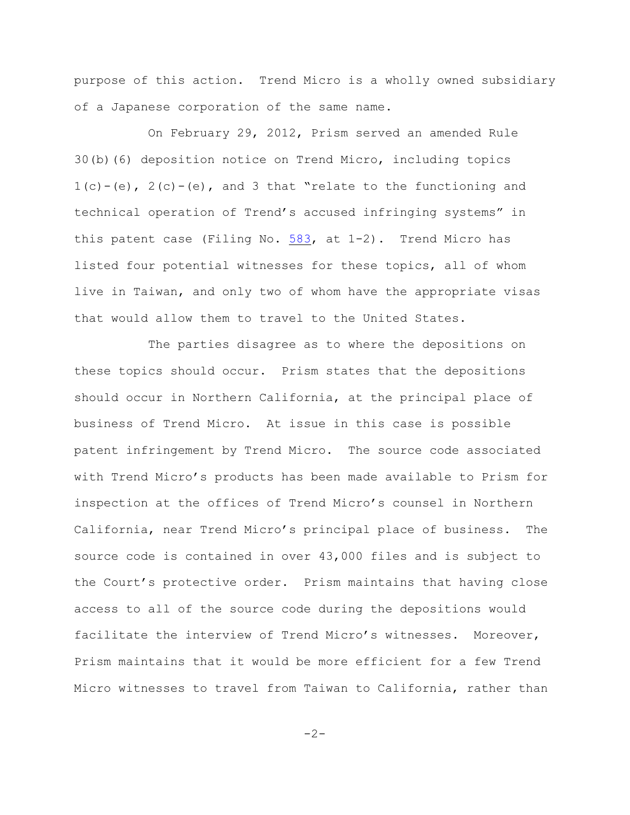purpose of this action. Trend Micro is a wholly owned subsidiary of a Japanese corporation of the same name.

On February 29, 2012, Prism served an amended Rule 30(b)(6) deposition notice on Trend Micro, including topics  $1(c) - (e)$ ,  $2(c) - (e)$ , and 3 that "relate to the functioning and technical operation of Trend's accused infringing systems" in this patent case (Filing No. [583](http://ecf.ned.uscourts.gov/doc1/11302504074), at 1-2). Trend Micro has listed four potential witnesses for these topics, all of whom live in Taiwan, and only two of whom have the appropriate visas that would allow them to travel to the United States.

The parties disagree as to where the depositions on these topics should occur. Prism states that the depositions should occur in Northern California, at the principal place of business of Trend Micro. At issue in this case is possible patent infringement by Trend Micro. The source code associated with Trend Micro's products has been made available to Prism for inspection at the offices of Trend Micro's counsel in Northern California, near Trend Micro's principal place of business. The source code is contained in over 43,000 files and is subject to the Court's protective order. Prism maintains that having close access to all of the source code during the depositions would facilitate the interview of Trend Micro's witnesses. Moreover, Prism maintains that it would be more efficient for a few Trend Micro witnesses to travel from Taiwan to California, rather than

 $-2-$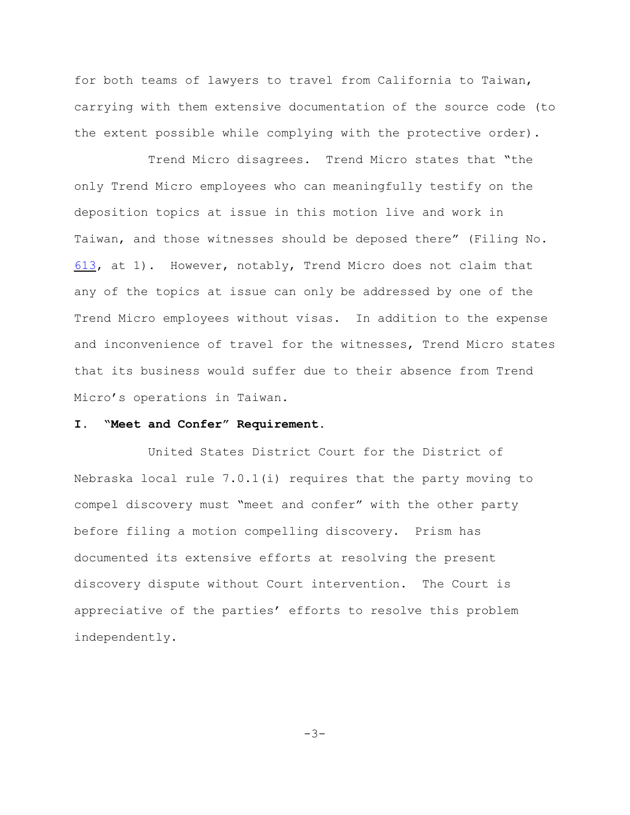for both teams of lawyers to travel from California to Taiwan, carrying with them extensive documentation of the source code (to the extent possible while complying with the protective order).

Trend Micro disagrees. Trend Micro states that "the only Trend Micro employees who can meaningfully testify on the deposition topics at issue in this motion live and work in Taiwan, and those witnesses should be deposed there" (Filing No. [613](http://ecf.ned.uscourts.gov/doc1/11302514521), at 1). However, notably, Trend Micro does not claim that any of the topics at issue can only be addressed by one of the Trend Micro employees without visas. In addition to the expense and inconvenience of travel for the witnesses, Trend Micro states that its business would suffer due to their absence from Trend Micro's operations in Taiwan.

## **I. "Meet and Confer" Requirement.**

United States District Court for the District of Nebraska local rule 7.0.1(i) requires that the party moving to compel discovery must "meet and confer" with the other party before filing a motion compelling discovery. Prism has documented its extensive efforts at resolving the present discovery dispute without Court intervention. The Court is appreciative of the parties' efforts to resolve this problem independently.

 $-3-$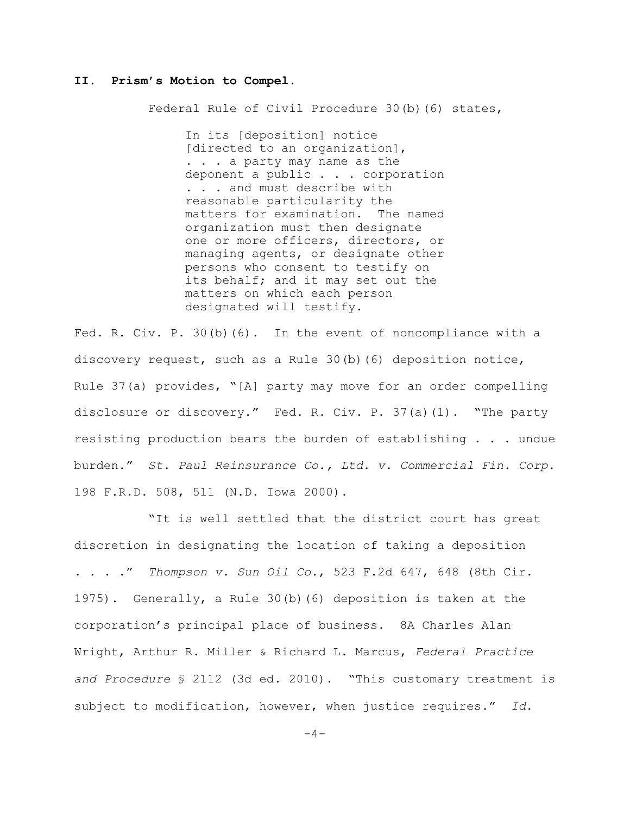## **II. Prism's Motion to Compel**.

Federal Rule of Civil Procedure 30(b)(6) states,

In its [deposition] notice [directed to an organization], . . . a party may name as the deponent a public . . . corporation . . . and must describe with reasonable particularity the matters for examination. The named organization must then designate one or more officers, directors, or managing agents, or designate other persons who consent to testify on its behalf; and it may set out the matters on which each person designated will testify.

Fed. R. Civ. P. 30(b)(6). In the event of noncompliance with a discovery request, such as a Rule 30(b)(6) deposition notice, Rule 37(a) provides, "[A] party may move for an order compelling disclosure or discovery." Fed. R. Civ. P. 37(a)(1). "The party resisting production bears the burden of establishing . . . undue burden." *St. Paul Reinsurance Co., Ltd. v. Commercial Fin. Corp*. 198 F.R.D. 508, 511 (N.D. Iowa 2000).

"It is well settled that the district court has great discretion in designating the location of taking a deposition . . . ." *Thompson v. Sun Oil Co.*, 523 F.2d 647, 648 (8th Cir. 1975). Generally, a Rule 30(b)(6) deposition is taken at the corporation's principal place of business. 8A Charles Alan Wright, Arthur R. Miller & Richard L. Marcus, *Federal Practice and Procedure* § 2112 (3d ed. 2010). "This customary treatment is subject to modification, however, when justice requires." *Id*.

 $-4-$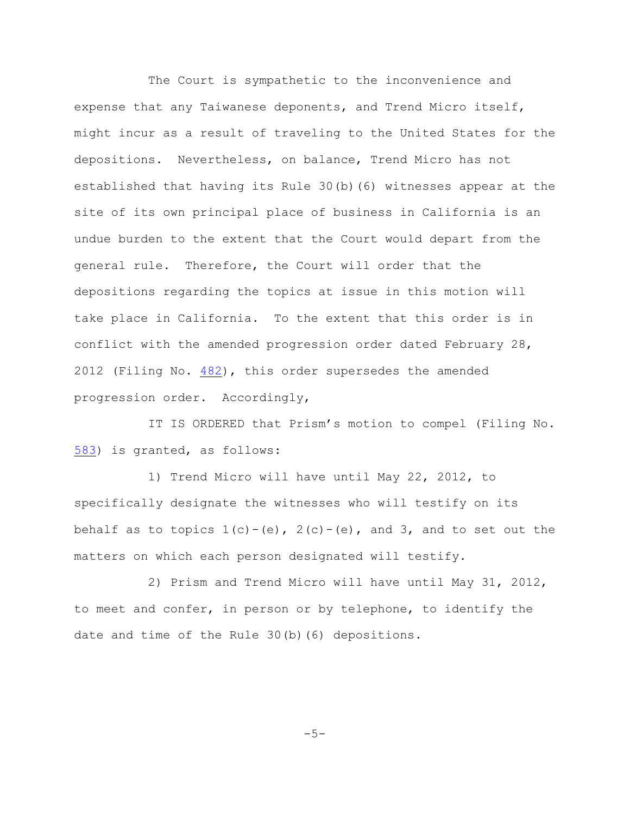The Court is sympathetic to the inconvenience and expense that any Taiwanese deponents, and Trend Micro itself, might incur as a result of traveling to the United States for the depositions. Nevertheless, on balance, Trend Micro has not established that having its Rule 30(b)(6) witnesses appear at the site of its own principal place of business in California is an undue burden to the extent that the Court would depart from the general rule. Therefore, the Court will order that the depositions regarding the topics at issue in this motion will take place in California. To the extent that this order is in conflict with the amended progression order dated February 28, 2012 (Filing No. [482](http://ecf.ned.uscourts.gov/doc1/11302470382)), this order supersedes the amended progression order. Accordingly,

IT IS ORDERED that Prism's motion to compel (Filing No. [583](http://ecf.ned.uscourts.gov/doc1/11302504074)) is granted, as follows:

1) Trend Micro will have until May 22, 2012, to specifically designate the witnesses who will testify on its behalf as to topics  $1(c) - (e)$ ,  $2(c) - (e)$ , and 3, and to set out the matters on which each person designated will testify.

2) Prism and Trend Micro will have until May 31, 2012, to meet and confer, in person or by telephone, to identify the date and time of the Rule 30(b)(6) depositions.

 $-5-$